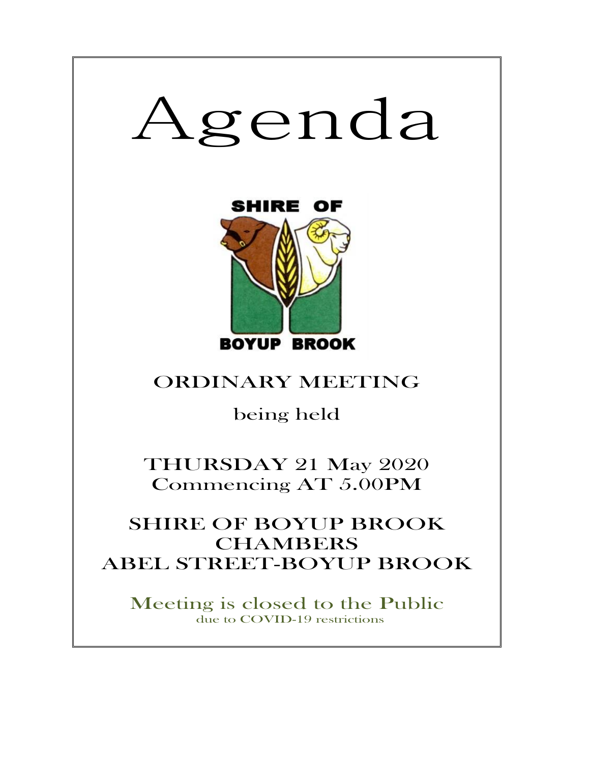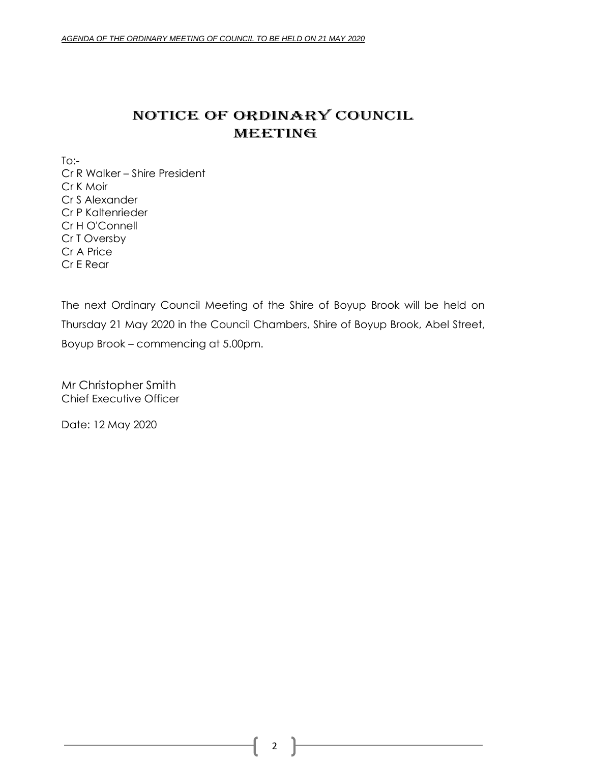# NOTICE OF ORDINARY COUNCIL MEETING

 $To:$ Cr R Walker – Shire President Cr K Moir Cr S Alexander Cr P Kaltenrieder Cr H O'Connell Cr T Oversby Cr A Price Cr E Rear

The next Ordinary Council Meeting of the Shire of Boyup Brook will be held on Thursday 21 May 2020 in the Council Chambers, Shire of Boyup Brook, Abel Street, Boyup Brook – commencing at 5.00pm.

Mr Christopher Smith Chief Executive Officer

Date: 12 May 2020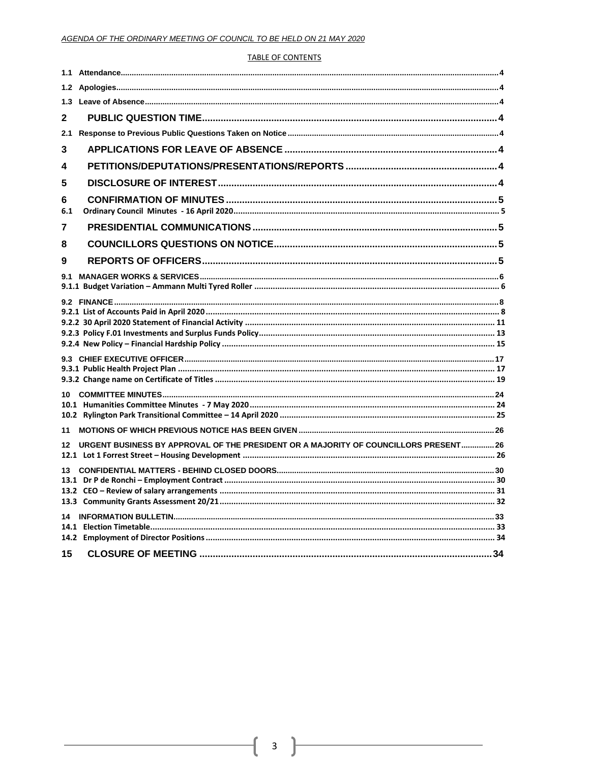### **TABLE OF CONTENTS**

| 1.3          |                                                                                      |  |
|--------------|--------------------------------------------------------------------------------------|--|
| $\mathbf{2}$ |                                                                                      |  |
| 2.1          |                                                                                      |  |
| 3            |                                                                                      |  |
| 4            |                                                                                      |  |
| 5            |                                                                                      |  |
| 6<br>6.1     |                                                                                      |  |
| 7            |                                                                                      |  |
| 8            |                                                                                      |  |
| 9            |                                                                                      |  |
|              |                                                                                      |  |
|              |                                                                                      |  |
|              |                                                                                      |  |
|              |                                                                                      |  |
| 11           |                                                                                      |  |
| 12           | URGENT BUSINESS BY APPROVAL OF THE PRESIDENT OR A MAJORITY OF COUNCILLORS PRESENT 26 |  |
|              |                                                                                      |  |
|              |                                                                                      |  |
| 15           |                                                                                      |  |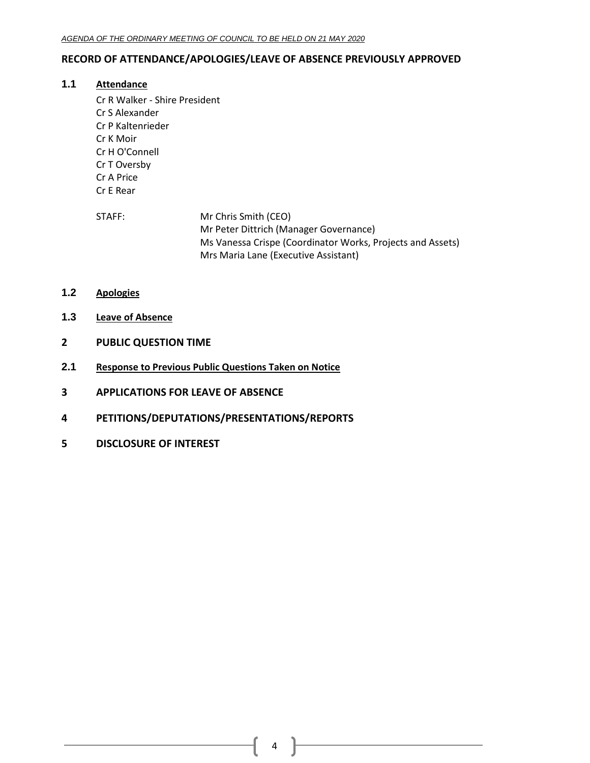# <span id="page-3-0"></span>**RECORD OF ATTENDANCE/APOLOGIES/LEAVE OF ABSENCE PREVIOUSLY APPROVED**

# **1.1 Attendance**

- Cr R Walker Shire President Cr S Alexander Cr P Kaltenrieder Cr K Moir Cr H O'Connell Cr T Oversby Cr A Price Cr E Rear
- STAFF: Mr Chris Smith (CEO) Mr Peter Dittrich (Manager Governance) Ms Vanessa Crispe (Coordinator Works, Projects and Assets) Mrs Maria Lane (Executive Assistant)
- <span id="page-3-1"></span>**1.2 Apologies**
- <span id="page-3-2"></span>**1.3 Leave of Absence**
- <span id="page-3-3"></span>**2 PUBLIC QUESTION TIME**
- <span id="page-3-4"></span>**2.1 Response to Previous Public Questions Taken on Notice**
- <span id="page-3-5"></span>**3 APPLICATIONS FOR LEAVE OF ABSENCE**
- <span id="page-3-6"></span>**4 PETITIONS/DEPUTATIONS/PRESENTATIONS/REPORTS**
- <span id="page-3-7"></span>**5 DISCLOSURE OF INTEREST**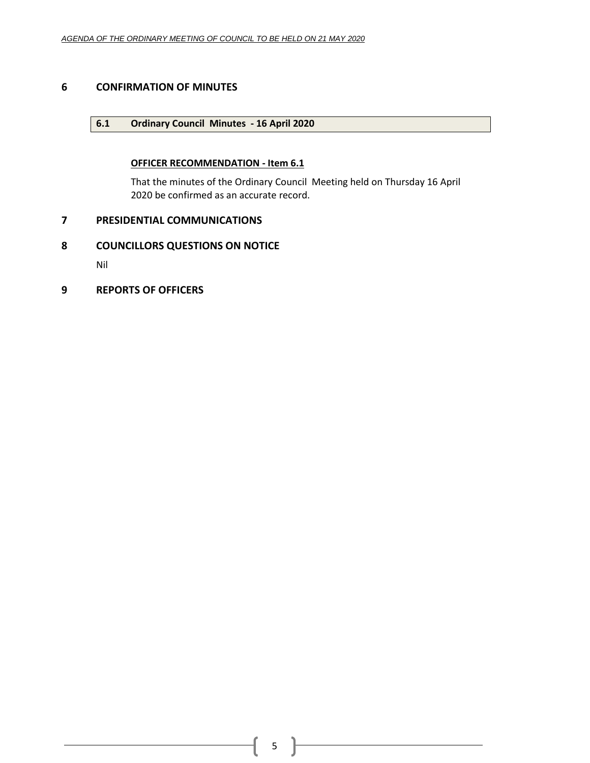# <span id="page-4-1"></span><span id="page-4-0"></span>**6 CONFIRMATION OF MINUTES**

# **6.1 Ordinary Council Minutes - 16 April 2020**

# **OFFICER RECOMMENDATION - Item 6.1**

That the minutes of the Ordinary Council Meeting held on Thursday 16 April 2020 be confirmed as an accurate record.

# <span id="page-4-2"></span>**7 PRESIDENTIAL COMMUNICATIONS**

# <span id="page-4-3"></span>**8 COUNCILLORS QUESTIONS ON NOTICE**

Nil

<span id="page-4-4"></span>**9 REPORTS OF OFFICERS**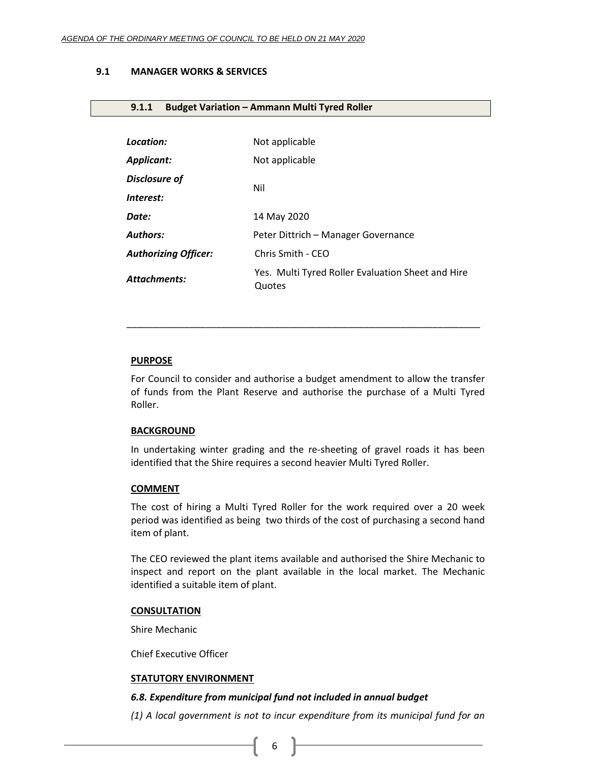# <span id="page-5-0"></span>**9.1 MANAGER WORKS & SERVICES**

# <span id="page-5-1"></span>**9.1.1 Budget Variation – Ammann Multi Tyred Roller**

| Location:                   | Not applicable                                              |
|-----------------------------|-------------------------------------------------------------|
| Applicant:                  | Not applicable                                              |
| <b>Disclosure of</b>        | Nil                                                         |
| Interest:                   |                                                             |
| Date:                       | 14 May 2020                                                 |
| Authors:                    | Peter Dittrich - Manager Governance                         |
| <b>Authorizing Officer:</b> | Chris Smith - CEO                                           |
| Attachments:                | Yes. Multi Tyred Roller Evaluation Sheet and Hire<br>Quotes |

### **PURPOSE**

For Council to consider and authorise a budget amendment to allow the transfer of funds from the Plant Reserve and authorise the purchase of a Multi Tyred Roller.

\_\_\_\_\_\_\_\_\_\_\_\_\_\_\_\_\_\_\_\_\_\_\_\_\_\_\_\_\_\_\_\_\_\_\_\_\_\_\_\_\_\_\_\_\_\_\_\_\_\_\_\_\_\_\_\_\_\_\_\_\_\_\_\_\_\_\_

#### **BACKGROUND**

In undertaking winter grading and the re-sheeting of gravel roads it has been identified that the Shire requires a second heavier Multi Tyred Roller.

#### **COMMENT**

The cost of hiring a Multi Tyred Roller for the work required over a 20 week period was identified as being two thirds of the cost of purchasing a second hand item of plant.

The CEO reviewed the plant items available and authorised the Shire Mechanic to inspect and report on the plant available in the local market. The Mechanic identified a suitable item of plant.

#### **CONSULTATION**

Shire Mechanic

Chief Executive Officer

# **STATUTORY ENVIRONMENT**

# *6.8. Expenditure from municipal fund not included in annual budget*

*(1) A local government is not to incur expenditure from its municipal fund for an*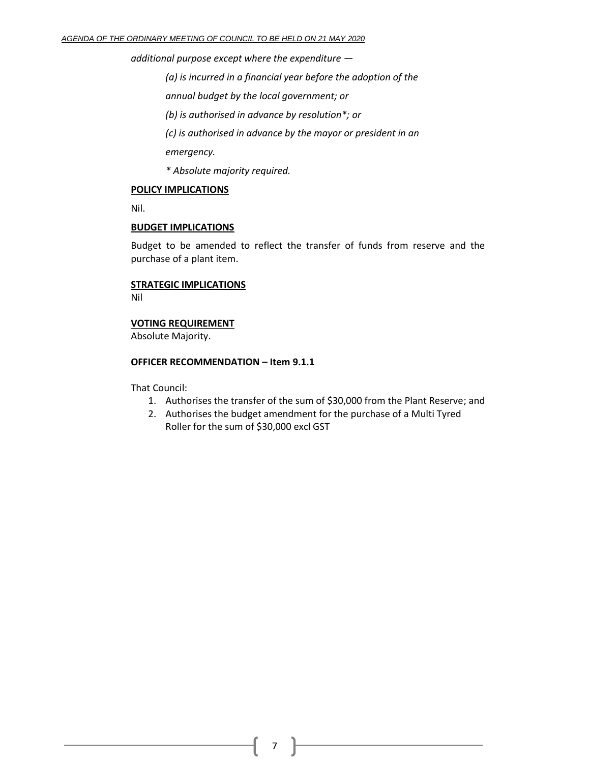*additional purpose except where the expenditure —*

*(a) is incurred in a financial year before the adoption of the*

*annual budget by the local government; or*

*(b) is authorised in advance by resolution\*; or*

*(c) is authorised in advance by the mayor or president in an*

*emergency.*

*\* Absolute majority required.*

### **POLICY IMPLICATIONS**

Nil.

### **BUDGET IMPLICATIONS**

Budget to be amended to reflect the transfer of funds from reserve and the purchase of a plant item.

# **STRATEGIC IMPLICATIONS**

Nil

# **VOTING REQUIREMENT**

Absolute Majority.

### **OFFICER RECOMMENDATION – Item 9.1.1**

That Council:

- 1. Authorises the transfer of the sum of \$30,000 from the Plant Reserve; and
- 2. Authorises the budget amendment for the purchase of a Multi Tyred Roller for the sum of \$30,000 excl GST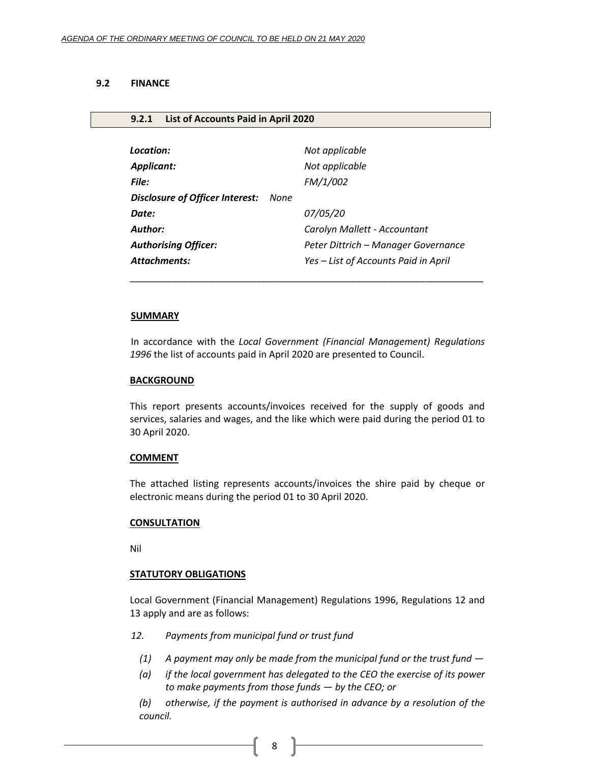#### <span id="page-7-0"></span>**9.2 FINANCE**

# <span id="page-7-1"></span>**9.2.1 List of Accounts Paid in April 2020**

| Location:                              |      | Not applicable                       |
|----------------------------------------|------|--------------------------------------|
| <b>Applicant:</b>                      |      | Not applicable                       |
| File:                                  |      | FM/1/002                             |
| <b>Disclosure of Officer Interest:</b> | None |                                      |
| Date:                                  |      | 07/05/20                             |
| <b>Author:</b>                         |      | Carolyn Mallett - Accountant         |
| <b>Authorising Officer:</b>            |      | Peter Dittrich – Manager Governance  |
| <b>Attachments:</b>                    |      | Yes - List of Accounts Paid in April |

#### **SUMMARY**

In accordance with the *Local Government (Financial Management) Regulations 1996* the list of accounts paid in April 2020 are presented to Council.

\_\_\_\_\_\_\_\_\_\_\_\_\_\_\_\_\_\_\_\_\_\_\_\_\_\_\_\_\_\_\_\_\_\_\_\_\_\_\_\_\_\_\_\_\_\_\_\_\_\_\_\_\_\_\_\_\_\_\_\_\_\_\_\_\_\_\_

#### **BACKGROUND**

This report presents accounts/invoices received for the supply of goods and services, salaries and wages, and the like which were paid during the period 01 to 30 April 2020.

#### **COMMENT**

The attached listing represents accounts/invoices the shire paid by cheque or electronic means during the period 01 to 30 April 2020.

#### **CONSULTATION**

Nil

### **STATUTORY OBLIGATIONS**

Local Government (Financial Management) Regulations 1996, Regulations 12 and 13 apply and are as follows:

- *12. Payments from municipal fund or trust fund*
	- *(1) A payment may only be made from the municipal fund or the trust fund —*
	- *(a) if the local government has delegated to the CEO the exercise of its power to make payments from those funds — by the CEO; or*

*(b) otherwise, if the payment is authorised in advance by a resolution of the council.*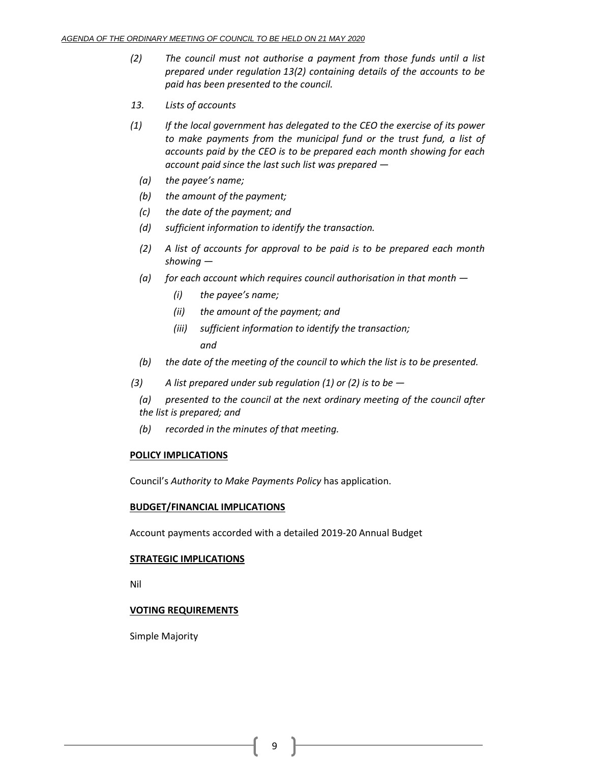- *(2) The council must not authorise a payment from those funds until a list prepared under regulation 13(2) containing details of the accounts to be paid has been presented to the council.*
- *13. Lists of accounts*
- *(1) If the local government has delegated to the CEO the exercise of its power to make payments from the municipal fund or the trust fund, a list of accounts paid by the CEO is to be prepared each month showing for each account paid since the last such list was prepared —*
	- *(a) the payee's name;*
	- *(b) the amount of the payment;*
	- *(c) the date of the payment; and*
	- *(d) sufficient information to identify the transaction.*
	- *(2) A list of accounts for approval to be paid is to be prepared each month showing —*
	- *(a) for each account which requires council authorisation in that month —*
		- *(i) the payee's name;*
		- *(ii) the amount of the payment; and*
		- *(iii) sufficient information to identify the transaction; and*
	- *(b) the date of the meeting of the council to which the list is to be presented.*
- *(3) A list prepared under sub regulation (1) or (2) is to be —*
	- *(a) presented to the council at the next ordinary meeting of the council after the list is prepared; and*
	- *(b) recorded in the minutes of that meeting.*

# **POLICY IMPLICATIONS**

Council's *Authority to Make Payments Policy* has application.

#### **BUDGET/FINANCIAL IMPLICATIONS**

Account payments accorded with a detailed 2019-20 Annual Budget

#### **STRATEGIC IMPLICATIONS**

Nil

# **VOTING REQUIREMENTS**

Simple Majority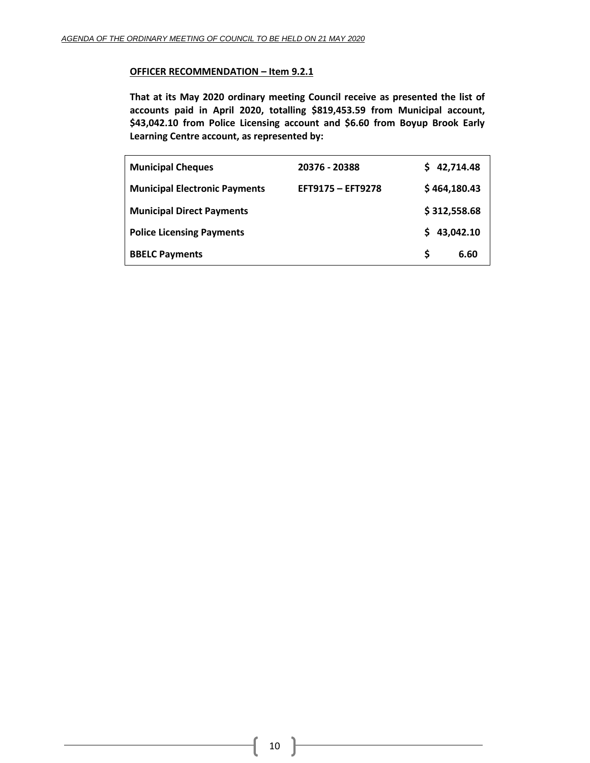# **OFFICER RECOMMENDATION – Item 9.2.1**

**That at its May 2020 ordinary meeting Council receive as presented the list of accounts paid in April 2020, totalling \$819,453.59 from Municipal account, \$43,042.10 from Police Licensing account and \$6.60 from Boyup Brook Early Learning Centre account, as represented by:**

| <b>Municipal Cheques</b>             | 20376 - 20388     |    | 42,714.48    |
|--------------------------------------|-------------------|----|--------------|
| <b>Municipal Electronic Payments</b> | EFT9175 - EFT9278 |    | \$464,180.43 |
| <b>Municipal Direct Payments</b>     |                   |    | \$312,558.68 |
| <b>Police Licensing Payments</b>     |                   | S. | 43,042.10    |
| <b>BBELC Payments</b>                |                   | S  | 6.60         |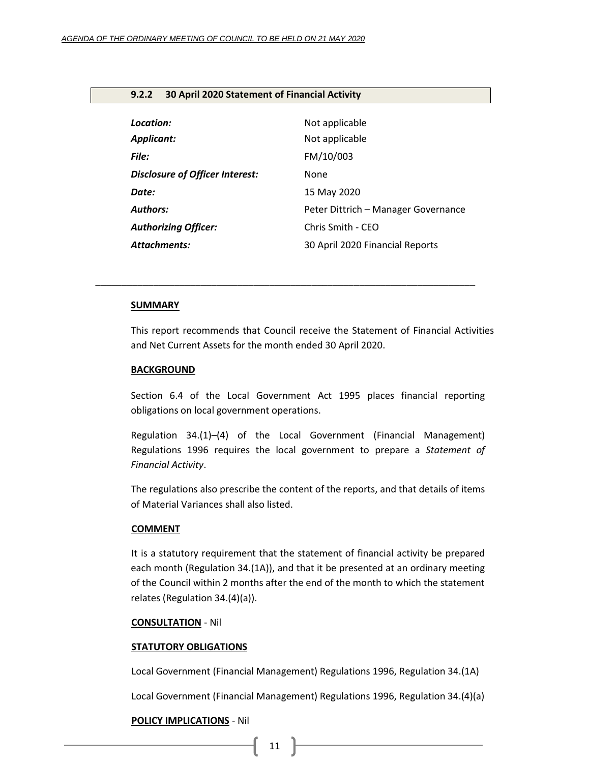# <span id="page-10-0"></span>**9.2.2 30 April 2020 Statement of Financial Activity**

| Location:                              | Not applicable                      |
|----------------------------------------|-------------------------------------|
| <b>Applicant:</b>                      | Not applicable                      |
| File:                                  | FM/10/003                           |
| <b>Disclosure of Officer Interest:</b> | None                                |
| Date:                                  | 15 May 2020                         |
| <b>Authors:</b>                        | Peter Dittrich – Manager Governance |
| <b>Authorizing Officer:</b>            | Chris Smith - CEO                   |
| Attachments:                           | 30 April 2020 Financial Reports     |

*\_\_\_\_\_\_\_\_\_\_\_\_\_\_\_\_\_\_\_\_\_\_\_\_\_\_\_\_\_\_\_\_\_\_\_\_\_\_\_\_\_\_\_\_\_\_\_\_\_\_\_\_\_\_\_\_\_\_\_\_\_\_\_\_\_\_\_\_\_\_\_\_*

#### **SUMMARY**

This report recommends that Council receive the Statement of Financial Activities and Net Current Assets for the month ended 30 April 2020.

#### **BACKGROUND**

Section 6.4 of the Local Government Act 1995 places financial reporting obligations on local government operations.

Regulation 34.(1)–(4) of the Local Government (Financial Management) Regulations 1996 requires the local government to prepare a *Statement of Financial Activity*.

The regulations also prescribe the content of the reports, and that details of items of Material Variances shall also listed.

### **COMMENT**

It is a statutory requirement that the statement of financial activity be prepared each month (Regulation 34.(1A)), and that it be presented at an ordinary meeting of the Council within 2 months after the end of the month to which the statement relates (Regulation 34.(4)(a)).

#### **CONSULTATION** - Nil

# **STATUTORY OBLIGATIONS**

Local Government (Financial Management) Regulations 1996, Regulation 34.(1A)

Local Government (Financial Management) Regulations 1996, Regulation 34.(4)(a)

# **POLICY IMPLICATIONS** - Nil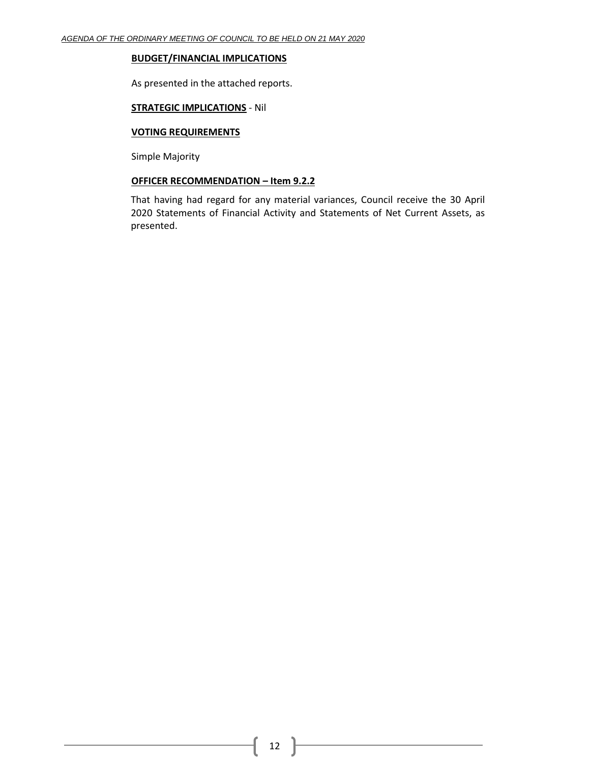# **BUDGET/FINANCIAL IMPLICATIONS**

As presented in the attached reports.

# **STRATEGIC IMPLICATIONS** - Nil

# **VOTING REQUIREMENTS**

Simple Majority

# **OFFICER RECOMMENDATION – Item 9.2.2**

That having had regard for any material variances, Council receive the 30 April 2020 Statements of Financial Activity and Statements of Net Current Assets, as presented.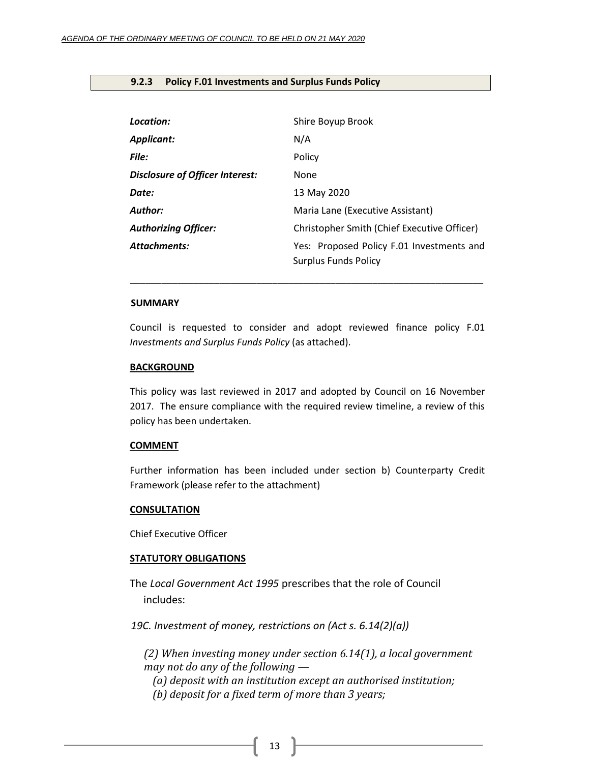# <span id="page-12-0"></span>**9.2.3 Policy F.01 Investments and Surplus Funds Policy**

| Location:                              | Shire Boyup Brook                                                        |
|----------------------------------------|--------------------------------------------------------------------------|
| Applicant:                             | N/A                                                                      |
| File:                                  | Policy                                                                   |
| <b>Disclosure of Officer Interest:</b> | None                                                                     |
| Date:                                  | 13 May 2020                                                              |
| Author:                                | Maria Lane (Executive Assistant)                                         |
| <b>Authorizing Officer:</b>            | Christopher Smith (Chief Executive Officer)                              |
| <b>Attachments:</b>                    | Yes: Proposed Policy F.01 Investments and<br><b>Surplus Funds Policy</b> |

#### **SUMMARY**

Council is requested to consider and adopt reviewed finance policy F.01 *Investments and Surplus Funds Policy* (as attached).

\_\_\_\_\_\_\_\_\_\_\_\_\_\_\_\_\_\_\_\_\_\_\_\_\_\_\_\_\_\_\_\_\_\_\_\_\_\_\_\_\_\_\_\_\_\_\_\_\_\_\_\_\_\_\_\_\_\_\_\_\_\_\_\_\_\_\_

### **BACKGROUND**

This policy was last reviewed in 2017 and adopted by Council on 16 November 2017. The ensure compliance with the required review timeline, a review of this policy has been undertaken.

#### **COMMENT**

Further information has been included under section b) Counterparty Credit Framework (please refer to the attachment)

#### **CONSULTATION**

Chief Executive Officer

### **STATUTORY OBLIGATIONS**

The *Local Government Act 1995* prescribes that the role of Council includes:

*19C. Investment of money, restrictions on (Act s. 6.14(2)(a))*

*(2) When investing money under section 6.14(1), a local government may not do any of the following —*

*(a) deposit with an institution except an authorised institution;*

*(b) deposit for a fixed term of more than 3 years;*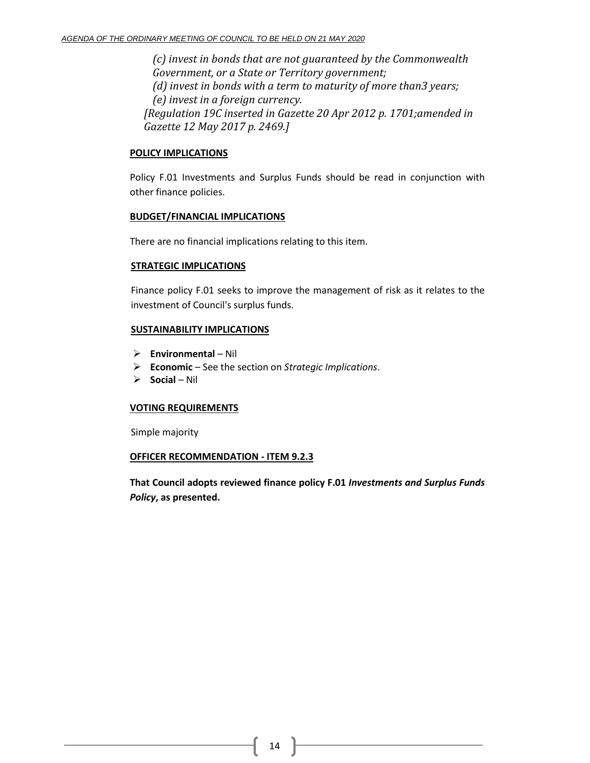*(c) invest in bonds that are not guaranteed by the Commonwealth Government, or a State or Territory government; (d) invest in bonds with a term to maturity of more than3 years; (e) invest in a foreign currency. [Regulation 19C inserted in Gazette 20 Apr 2012 p. 1701;amended in Gazette 12 May 2017 p. 2469.]*

# **POLICY IMPLICATIONS**

Policy F.01 Investments and Surplus Funds should be read in conjunction with other finance policies.

# **BUDGET/FINANCIAL IMPLICATIONS**

There are no financial implications relating to this item.

# **STRATEGIC IMPLICATIONS**

Finance policy F.01 seeks to improve the management of risk as it relates to the investment of Council's surplus funds.

# **SUSTAINABILITY IMPLICATIONS**

- ➢ **Environmental**  Nil
- ➢ **Economic**  See the section on *Strategic Implications*.
- ➢ **Social**  Nil

# **VOTING REQUIREMENTS**

Simple majority

# **OFFICER RECOMMENDATION - ITEM 9.2.3**

**That Council adopts reviewed finance policy F.01** *Investments and Surplus Funds Policy***, as presented.**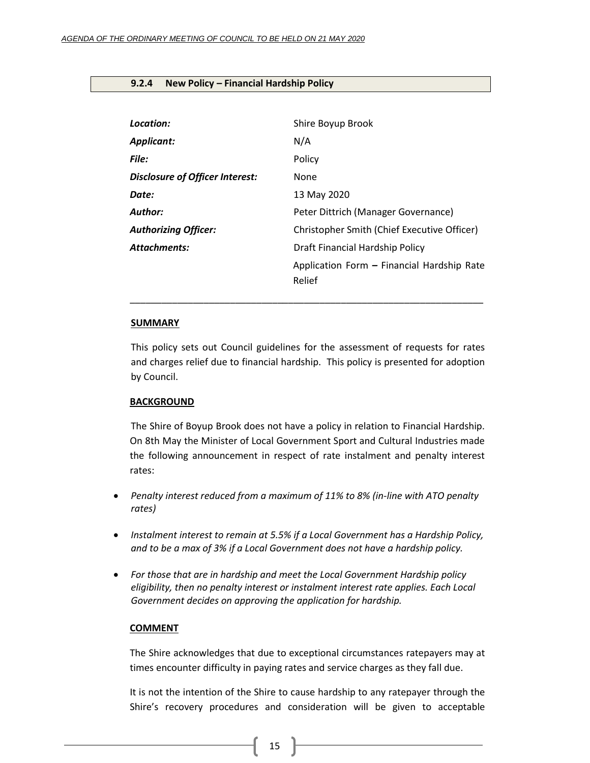### <span id="page-14-0"></span>**9.2.4 New Policy – Financial Hardship Policy**

| Location:                       | Shire Boyup Brook                                    |
|---------------------------------|------------------------------------------------------|
| <b>Applicant:</b>               | N/A                                                  |
| File:                           | Policy                                               |
| Disclosure of Officer Interest: | None                                                 |
| Date:                           | 13 May 2020                                          |
| Author:                         | Peter Dittrich (Manager Governance)                  |
| <b>Authorizing Officer:</b>     | Christopher Smith (Chief Executive Officer)          |
| <b>Attachments:</b>             | Draft Financial Hardship Policy                      |
|                                 | Application Form - Financial Hardship Rate<br>Relief |

#### **SUMMARY**

This policy sets out Council guidelines for the assessment of requests for rates and charges relief due to financial hardship. This policy is presented for adoption by Council.

\_\_\_\_\_\_\_\_\_\_\_\_\_\_\_\_\_\_\_\_\_\_\_\_\_\_\_\_\_\_\_\_\_\_\_\_\_\_\_\_\_\_\_\_\_\_\_\_\_\_\_\_\_\_\_\_\_\_\_\_\_\_\_\_\_\_\_

# **BACKGROUND**

The Shire of Boyup Brook does not have a policy in relation to Financial Hardship. On 8th May the Minister of Local Government Sport and Cultural Industries made the following announcement in respect of rate instalment and penalty interest rates:

- *Penalty interest reduced from a maximum of 11% to 8% (in-line with ATO penalty rates)*
- *Instalment interest to remain at 5.5% if a Local Government has a Hardship Policy, and to be a max of 3% if a Local Government does not have a hardship policy.*
- *For those that are in hardship and meet the Local Government Hardship policy eligibility, then no penalty interest or instalment interest rate applies. Each Local Government decides on approving the application for hardship.*

# **COMMENT**

The Shire acknowledges that due to exceptional circumstances ratepayers may at times encounter difficulty in paying rates and service charges as they fall due.

It is not the intention of the Shire to cause hardship to any ratepayer through the Shire's recovery procedures and consideration will be given to acceptable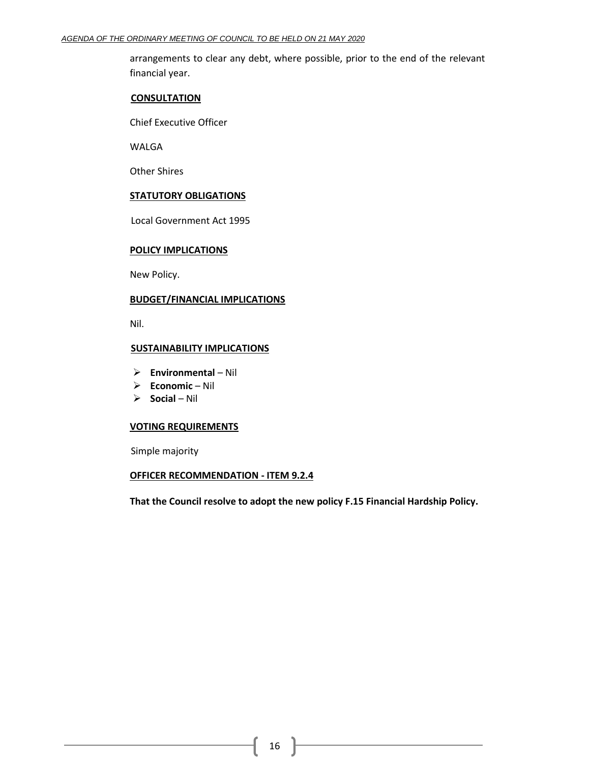arrangements to clear any debt, where possible, prior to the end of the relevant financial year.

#### **CONSULTATION**

Chief Executive Officer

WALGA

Other Shires

### **STATUTORY OBLIGATIONS**

Local Government Act 1995

### **POLICY IMPLICATIONS**

New Policy.

# **BUDGET/FINANCIAL IMPLICATIONS**

Nil.

### **SUSTAINABILITY IMPLICATIONS**

- ➢ **Environmental**  Nil
- ➢ **Economic**  Nil
- ➢ **Social**  Nil

### **VOTING REQUIREMENTS**

Simple majority

### **OFFICER RECOMMENDATION - ITEM 9.2.4**

**That the Council resolve to adopt the new policy F.15 Financial Hardship Policy.**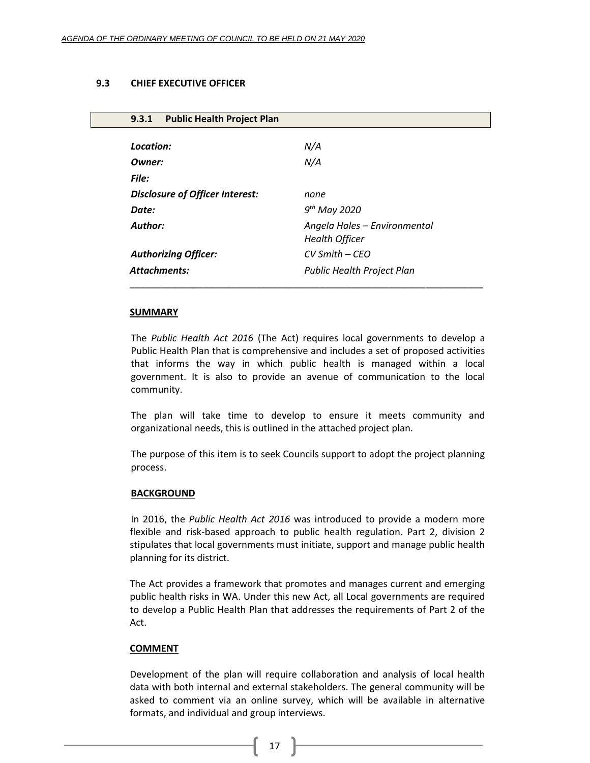### <span id="page-16-0"></span>**9.3 CHIEF EXECUTIVE OFFICER**

<span id="page-16-1"></span>

| <b>Public Health Project Plan</b><br>9.3.1 |                              |
|--------------------------------------------|------------------------------|
|                                            |                              |
| Location:                                  | N/A                          |
| Owner:                                     | N/A                          |
| File:                                      |                              |
| Disclosure of Officer Interest:            | none                         |
| Date:                                      | $9th$ May 2020               |
| Author:                                    | Angela Hales - Environmental |
|                                            | <b>Health Officer</b>        |
| <b>Authorizing Officer:</b>                | CV Smith - CEO               |
| <b>Attachments:</b>                        | Public Health Project Plan   |
|                                            |                              |

#### **SUMMARY**

The *Public Health Act 2016* (The Act) requires local governments to develop a Public Health Plan that is comprehensive and includes a set of proposed activities that informs the way in which public health is managed within a local government. It is also to provide an avenue of communication to the local community.

The plan will take time to develop to ensure it meets community and organizational needs, this is outlined in the attached project plan.

The purpose of this item is to seek Councils support to adopt the project planning process.

#### **BACKGROUND**

In 2016, the *Public Health Act 2016* was introduced to provide a modern more flexible and risk-based approach to public health regulation. Part 2, division 2 stipulates that local governments must initiate, support and manage public health planning for its district.

The Act provides a framework that promotes and manages current and emerging public health risks in WA. Under this new Act, all Local governments are required to develop a Public Health Plan that addresses the requirements of Part 2 of the Act.

# **COMMENT**

Development of the plan will require collaboration and analysis of local health data with both internal and external stakeholders. The general community will be asked to comment via an online survey, which will be available in alternative formats, and individual and group interviews.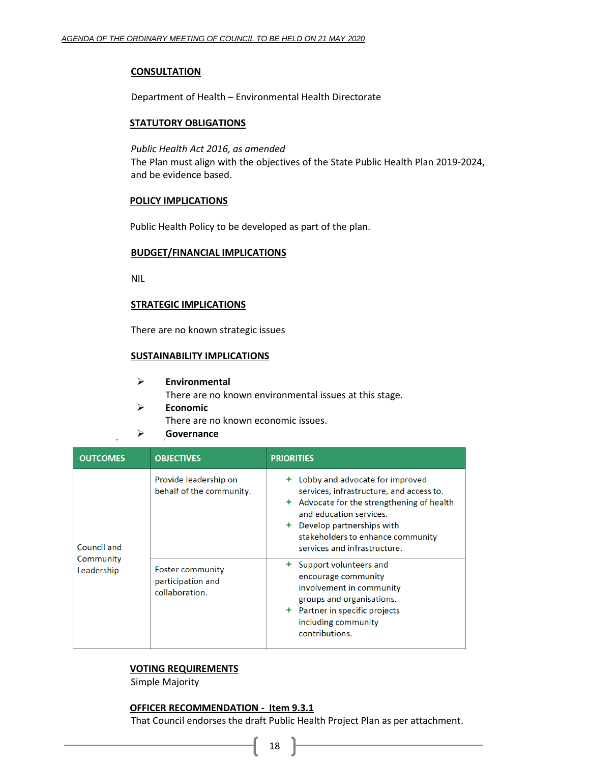### **CONSULTATION**

Department of Health – Environmental Health Directorate

### **STATUTORY OBLIGATIONS**

#### *Public Health Act 2016, as amended*

The Plan must align with the objectives of the State Public Health Plan 2019-2024, and be evidence based.

#### **POLICY IMPLICATIONS**

Public Health Policy to be developed as part of the plan.

#### **BUDGET/FINANCIAL IMPLICATIONS**

NIL

#### **STRATEGIC IMPLICATIONS**

There are no known strategic issues

# **SUSTAINABILITY IMPLICATIONS**

- ➢ **Environmental** There are no known environmental issues at this stage.
- ➢ **Economic** There are no known economic issues.
- ➢ **Governance**

| <b>OUTCOMES</b>                        | <b>OBJECTIVES</b>                                                                                                   | <b>PRIORITIES</b>                                                                                                                                                                                                                                                                                                                                                                                                                                          |
|----------------------------------------|---------------------------------------------------------------------------------------------------------------------|------------------------------------------------------------------------------------------------------------------------------------------------------------------------------------------------------------------------------------------------------------------------------------------------------------------------------------------------------------------------------------------------------------------------------------------------------------|
| Council and<br>Community<br>Leadership | Provide leadership on<br>behalf of the community.<br><b>Foster community</b><br>participation and<br>collaboration. | Lobby and advocate for improved<br>services, infrastructure, and access to.<br>$\triangle$ Advocate for the strengthening of health<br>and education services.<br>Develop partnerships with<br>stakeholders to enhance community<br>services and infrastructure.<br>Support volunteers and<br>encourage community<br>involvement in community<br>groups and organisations.<br>$\div$ Partner in specific projects<br>including community<br>contributions. |

# **VOTING REQUIREMENTS**

Simple Majority

### **OFFICER RECOMMENDATION - Item 9.3.1**

That Council endorses the draft Public Health Project Plan as per attachment.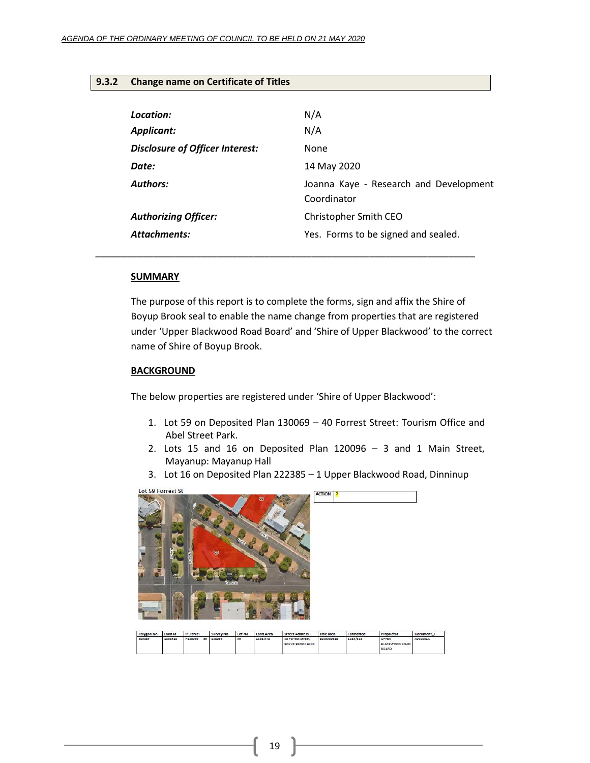# <span id="page-18-0"></span>**9.3.2 Change name on Certificate of Titles**

| Location:                       | N/A                                                   |
|---------------------------------|-------------------------------------------------------|
| <b>Applicant:</b>               | N/A                                                   |
| Disclosure of Officer Interest: | <b>None</b>                                           |
| Date:                           | 14 May 2020                                           |
| <b>Authors:</b>                 | Joanna Kaye - Research and Development<br>Coordinator |
| <b>Authorizing Officer:</b>     | Christopher Smith CEO                                 |
| <b>Attachments:</b>             | Yes. Forms to be signed and sealed.                   |

### **SUMMARY**

The purpose of this report is to complete the forms, sign and affix the Shire of Boyup Brook seal to enable the name change from properties that are registered under 'Upper Blackwood Road Board' and 'Shire of Upper Blackwood' to the correct name of Shire of Boyup Brook.

### **BACKGROUND**

The below properties are registered under 'Shire of Upper Blackwood':

*\_\_\_\_\_\_\_\_\_\_\_\_\_\_\_\_\_\_\_\_\_\_\_\_\_\_\_\_\_\_\_\_\_\_\_\_\_\_\_\_\_\_\_\_\_\_\_\_\_\_\_\_\_\_\_\_\_\_\_\_\_\_\_\_\_\_\_\_\_\_\_\_*

- 1. Lot 59 on Deposited Plan 130069 40 Forrest Street: Tourism Office and Abel Street Park.
- 2. Lots 15 and 16 on Deposited Plan 120096 3 and 1 Main Street, Mayanup: Mayanup Hall
- 3. Lot 16 on Deposited Plan 222385 1 Upper Blackwood Road, Dinninup



| Polygon No | Land Id | Pi Parcel |    | Survey No | Lot No.       | Land Area | <b>Street Address</b>                  | <b>Title Iden</b> | Formatted | Proprietor                              | Document |
|------------|---------|-----------|----|-----------|---------------|-----------|----------------------------------------|-------------------|-----------|-----------------------------------------|----------|
| 505889     | 1853920 | P130069   | 59 | 130069    | $\rightarrow$ | 1353.973  | 40 Forrest Street.<br>BOYUP BROOK 6244 | 1035000618        | 1035/618  | UPPER<br>BLACKWOOD ROAD<br><b>BOARD</b> | A000001A |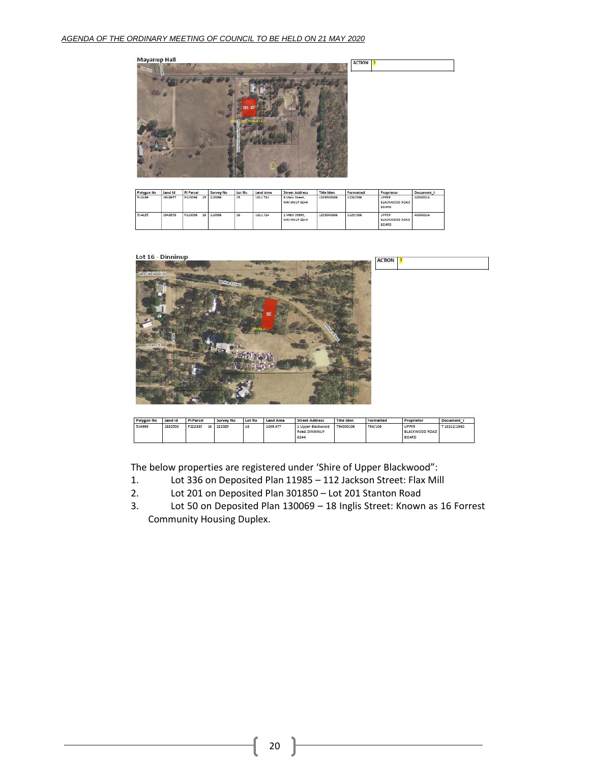

| Polygon No | Land Id | Pi Parcel |    | Survey No | Lot No | Land Area | <b>Street Address</b>          | Title Iden | Formatted | Proprietor                                     | Document i |
|------------|---------|-----------|----|-----------|--------|-----------|--------------------------------|------------|-----------|------------------------------------------------|------------|
| 514199     | 1943957 | P120096   | 15 | 120096    | 15     | 1011.724  | 3 Main Street.<br>MAYANUP 6244 | 1229000386 | 1229/386  | UPPER<br>BLACKWOOD ROAD<br>BOARD               | A000001A   |
| 514195     | 1943958 | P120096   | 16 | 120096    | 16     | 1011.724  | 1 Main Street,<br>MAYANUP 6244 | 1229000386 | 1229/386  | UPPER<br><b>BLACKWOOD ROAD</b><br><b>BOARD</b> | A000001A   |

### Lot 16 - Dinninup



| Polygon No. | Land Id | Pi Parcel     | Survey No | Lot No. | <b>Land Area</b> | <b>Street Address</b>                       | <b>Title Iden</b> | Formatted | Proprietor                                     | Document i   |
|-------------|---------|---------------|-----------|---------|------------------|---------------------------------------------|-------------------|-----------|------------------------------------------------|--------------|
| 514996      | 1882500 | P222385<br>16 | 222385    | 16      | 1009.477         | 1 Upper Blackwood<br>Road, DINNINUP<br>6244 | 794000106         | 794/106   | UPPER<br><b>BLACKWOOD ROAD</b><br><b>BOARD</b> | T 18212/1960 |

The below properties are registered under 'Shire of Upper Blackwood":

- 1. Lot 336 on Deposited Plan 11985 112 Jackson Street: Flax Mill<br>2. Lot 201 on Deposited Plan 301850 Lot 201 Stanton Road
- 2. Lot 201 on Deposited Plan 301850 Lot 201 Stanton Road<br>3. Lot 50 on Deposited Plan 130069 18 Inglis Street: Known
- Lot 50 on Deposited Plan 130069 18 Inglis Street: Known as 16 Forrest Community Housing Duplex.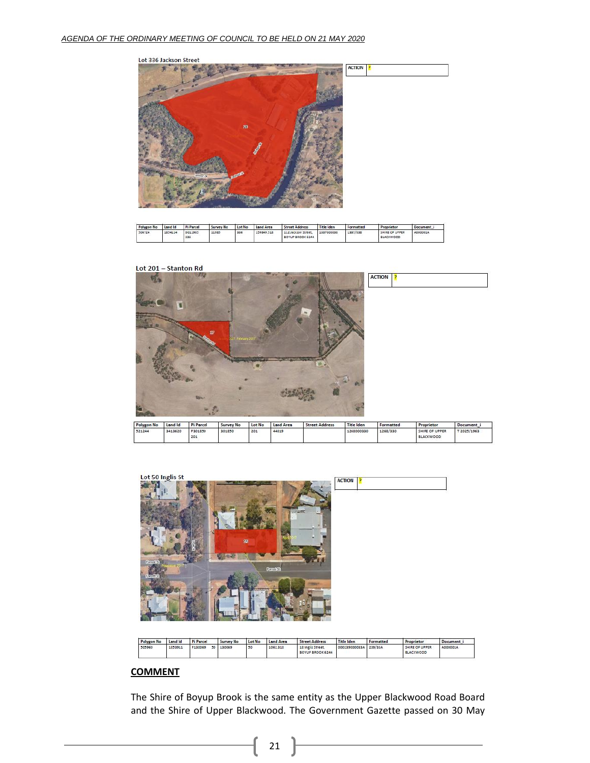

| Polygon No | Land Id | Pi Parcel      | Survey No | Lot No. | Land Area  | <b>Street Address</b>                   | <b>Title Iden</b> | Formatted | Proprietor                         | Document |
|------------|---------|----------------|-----------|---------|------------|-----------------------------------------|-------------------|-----------|------------------------------------|----------|
| 506724     | 1854114 | D011985<br>336 | 11985     | 336     | 159849.518 | 112 Jackson Street.<br>BOYUP BROOK 6244 | 1337000838        | 1337/838  | SHIRE OF UPPER<br><b>BLACKWOOD</b> | A000001A |

#### Lot 201 - Stanton Rd





| Polygon No. | Land Id | <b>Pi Parcel</b> | Survey No | Lot No. | <b>Land Area</b> | <b>Street Address</b>                 | <b>Title Iden</b>     | Formatted | Proprietor                         | Document i |
|-------------|---------|------------------|-----------|---------|------------------|---------------------------------------|-----------------------|-----------|------------------------------------|------------|
| 505960      | 1853911 | P130069<br>50    | 130069    | 50      | 1062318          | 18 Inglis Street.<br>BOYUP BROOK 6244 | 000239000033A 239/33A |           | SHIRE OF UPPER<br><b>BLACKWOOD</b> | A000001A   |

# **COMMENT**

The Shire of Boyup Brook is the same entity as the Upper Blackwood Road Board and the Shire of Upper Blackwood. The Government Gazette passed on 30 May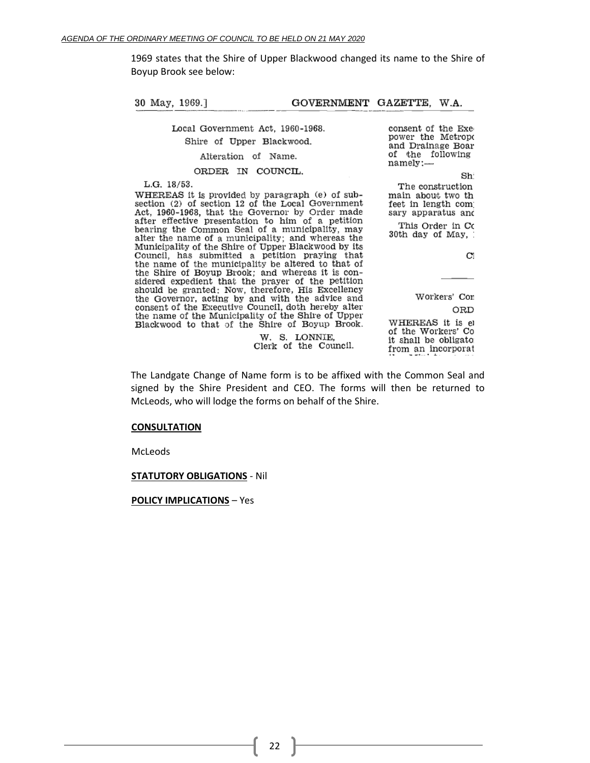1969 states that the Shire of Upper Blackwood changed its name to the Shire of Boyup Brook see below:

30 May, 1969.1 GOVERNMENT GAZETTE, W.A.

Local Government Act, 1960-1968.

Shire of Upper Blackwood.

Alteration of Name.

ORDER IN COUNCIL.

L.G. 18/53.

WHEREAS it is provided by paragraph (e) of subsection (2) of section 12 of the Local Government Act, 1960-1968, that the Governor by Order made after effective presentation to him of a petition bearing the Common Seal of a municipality, may alter the name of a municipality; and whereas the Municipality of the Shire of Upper Blackwood by its Council, has submitted a petition praying that the name of the municipality be altered to that of the Shire of Boyup Brook; and whereas it is considered expedient that the prayer of the petition should be granted: Now, therefore, His Excellency<br>the Governor, acting by and with the advice and consent of the Executive Council, doth hereby alter the name of the Municipality of the Shire of Upper Blackwood to that of the Shire of Boyup Brook. consent of the Exepower the Metropo and Drainage Boar of the following namely:-

Sh The construction main about two th feet in length com sary apparatus and

This Order in Co 30th day of May,

 $\mathbf{C}^{\prime}$ 

Workers' Con ORD WHEREAS it is el of the Workers' Co it shall be obligato from an incorporat

The Landgate Change of Name form is to be affixed with the Common Seal and signed by the Shire President and CEO. The forms will then be returned to McLeods, who will lodge the forms on behalf of the Shire.

W. S. LONNIE,

Clerk of the Council.

#### **CONSULTATION**

McLeods

#### **STATUTORY OBLIGATIONS** - Nil

**POLICY IMPLICATIONS** – Yes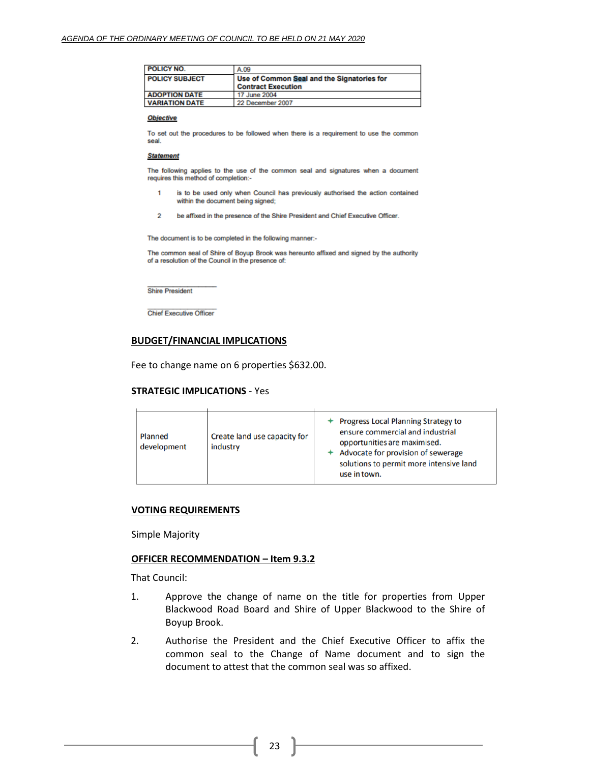| <b>POLICY NO.</b>     | A.09                                                                    |
|-----------------------|-------------------------------------------------------------------------|
| <b>POLICY SUBJECT</b> | Use of Common Seal and the Signatories for<br><b>Contract Execution</b> |
| <b>ADOPTION DATE</b>  | 17 June 2004                                                            |
| <b>VARIATION DATE</b> | 22 December 2007                                                        |

#### **Objective**

To set out the procedures to be followed when there is a requirement to use the common seal.

#### **Statement**

The following applies to the use of the common seal and signatures when a document requires this method of completion:-

- is to be used only when Council has previously authorised the action contained 1 within the document being signed;
- $\overline{2}$ be affixed in the presence of the Shire President and Chief Executive Officer.

The document is to be completed in the following manner:-

The common seal of Shire of Boyup Brook was hereunto affixed and signed by the authority of a resolution of the Council in the presence of:

**Shire President** 

**Chief Executive Officer** 

#### **BUDGET/FINANCIAL IMPLICATIONS**

Fee to change name on 6 properties \$632.00.

#### **STRATEGIC IMPLICATIONS** - Yes

| Planned<br>development | Create land use capacity for<br>industry | <b>Progress Local Planning Strategy to</b><br>ensure commercial and industrial<br>opportunities are maximised.<br>Advocate for provision of sewerage<br>solutions to permit more intensive land<br>use in town. |
|------------------------|------------------------------------------|-----------------------------------------------------------------------------------------------------------------------------------------------------------------------------------------------------------------|

#### **VOTING REQUIREMENTS**

Simple Majority

#### **OFFICER RECOMMENDATION – Item 9.3.2**

That Council:

- 1. Approve the change of name on the title for properties from Upper Blackwood Road Board and Shire of Upper Blackwood to the Shire of Boyup Brook.
- 2. Authorise the President and the Chief Executive Officer to affix the common seal to the Change of Name document and to sign the document to attest that the common seal was so affixed.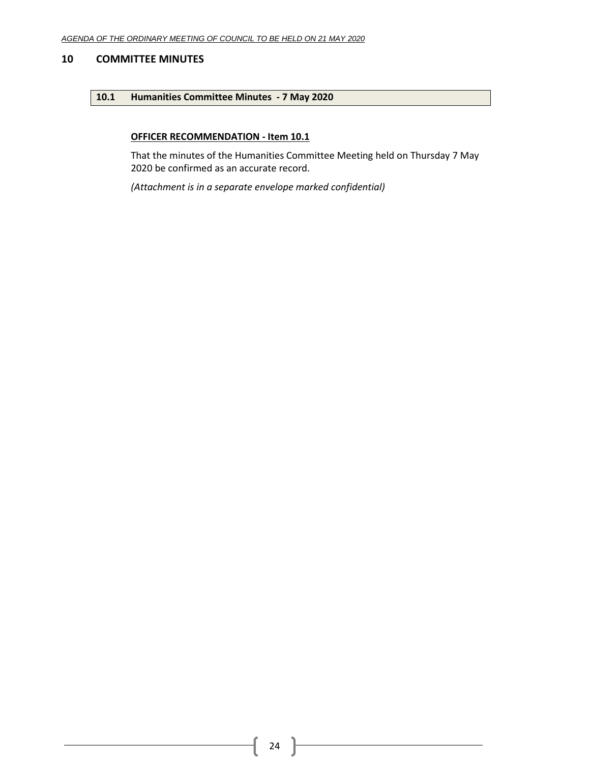# <span id="page-23-1"></span><span id="page-23-0"></span>**10 COMMITTEE MINUTES**

# **10.1 Humanities Committee Minutes - 7 May 2020**

# **OFFICER RECOMMENDATION - Item 10.1**

That the minutes of the Humanities Committee Meeting held on Thursday 7 May 2020 be confirmed as an accurate record.

*(Attachment is in a separate envelope marked confidential)*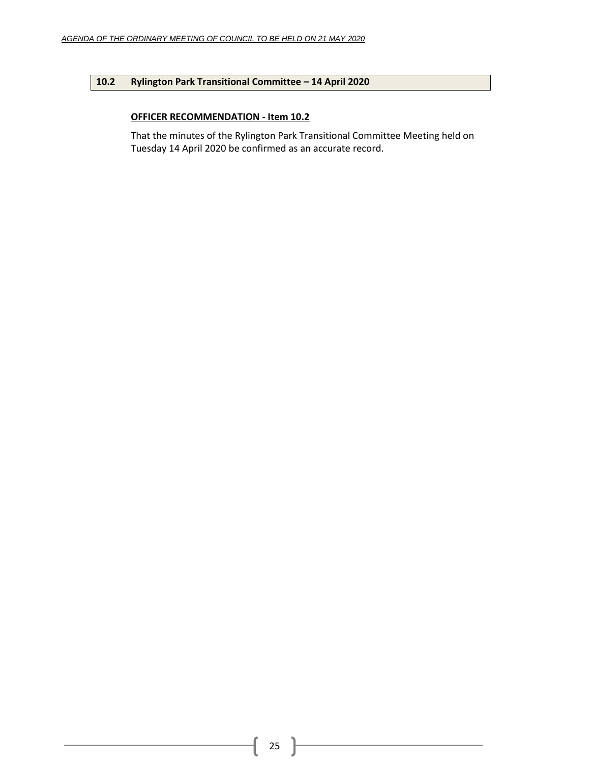# <span id="page-24-0"></span>**10.2 Rylington Park Transitional Committee – 14 April 2020**

# **OFFICER RECOMMENDATION - Item 10.2**

That the minutes of the Rylington Park Transitional Committee Meeting held on Tuesday 14 April 2020 be confirmed as an accurate record.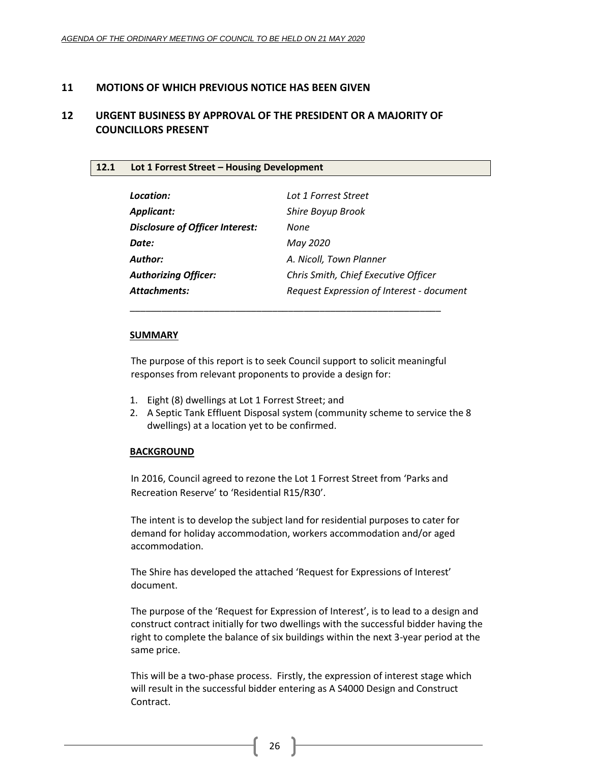# <span id="page-25-0"></span>**11 MOTIONS OF WHICH PREVIOUS NOTICE HAS BEEN GIVEN**

# <span id="page-25-1"></span>**12 URGENT BUSINESS BY APPROVAL OF THE PRESIDENT OR A MAJORITY OF COUNCILLORS PRESENT**

# <span id="page-25-2"></span>**12.1 Lot 1 Forrest Street – Housing Development**

| Location:                              | Lot 1 Forrest Street                      |
|----------------------------------------|-------------------------------------------|
| Applicant:                             | Shire Boyup Brook                         |
| <b>Disclosure of Officer Interest:</b> | None                                      |
| Date:                                  | May 2020                                  |
| Author:                                | A. Nicoll, Town Planner                   |
| <b>Authorizing Officer:</b>            | Chris Smith, Chief Executive Officer      |
| <b>Attachments:</b>                    | Request Expression of Interest - document |

# **SUMMARY**

The purpose of this report is to seek Council support to solicit meaningful responses from relevant proponents to provide a design for:

\_\_\_\_\_\_\_\_\_\_\_\_\_\_\_\_\_\_\_\_\_\_\_\_\_\_\_\_\_\_\_\_\_\_\_\_\_\_\_\_\_\_\_\_\_\_\_\_\_\_\_\_\_\_\_\_\_\_\_

- 1. Eight (8) dwellings at Lot 1 Forrest Street; and
- 2. A Septic Tank Effluent Disposal system (community scheme to service the 8 dwellings) at a location yet to be confirmed.

# **BACKGROUND**

In 2016, Council agreed to rezone the Lot 1 Forrest Street from 'Parks and Recreation Reserve' to 'Residential R15/R30'.

The intent is to develop the subject land for residential purposes to cater for demand for holiday accommodation, workers accommodation and/or aged accommodation.

The Shire has developed the attached 'Request for Expressions of Interest' document.

The purpose of the 'Request for Expression of Interest', is to lead to a design and construct contract initially for two dwellings with the successful bidder having the right to complete the balance of six buildings within the next 3-year period at the same price.

This will be a two-phase process. Firstly, the expression of interest stage which will result in the successful bidder entering as A S4000 Design and Construct Contract.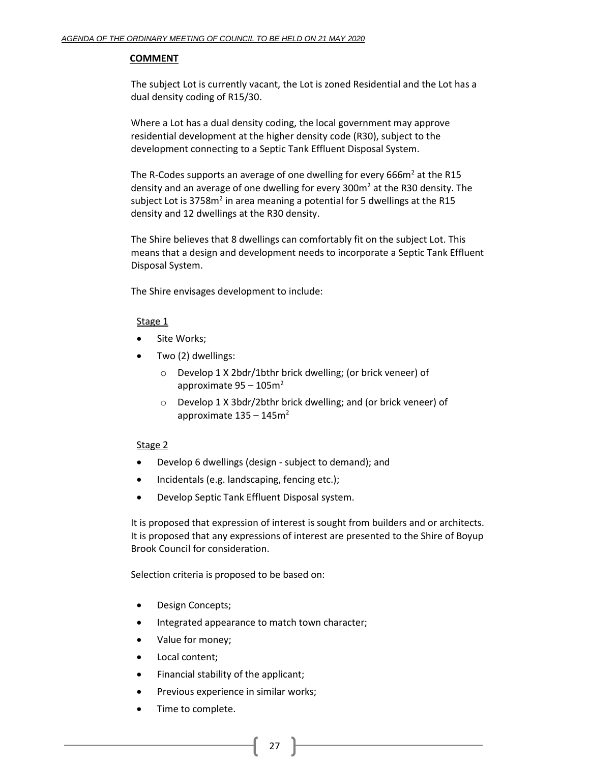# **COMMENT**

The subject Lot is currently vacant, the Lot is zoned Residential and the Lot has a dual density coding of R15/30.

Where a Lot has a dual density coding, the local government may approve residential development at the higher density code (R30), subject to the development connecting to a Septic Tank Effluent Disposal System.

The R-Codes supports an average of one dwelling for every  $666m<sup>2</sup>$  at the R15 density and an average of one dwelling for every  $300\text{m}^2$  at the R30 density. The subject Lot is 3758m<sup>2</sup> in area meaning a potential for 5 dwellings at the R15 density and 12 dwellings at the R30 density.

The Shire believes that 8 dwellings can comfortably fit on the subject Lot. This means that a design and development needs to incorporate a Septic Tank Effluent Disposal System.

The Shire envisages development to include:

# Stage 1

- Site Works;
- Two (2) dwellings:
	- o Develop 1 X 2bdr/1bthr brick dwelling; (or brick veneer) of approximate  $95 - 105$ m<sup>2</sup>
	- o Develop 1 X 3bdr/2bthr brick dwelling; and (or brick veneer) of approximate  $135 - 145$ m<sup>2</sup>

# Stage 2

- Develop 6 dwellings (design subject to demand); and
- Incidentals (e.g. landscaping, fencing etc.);
- Develop Septic Tank Effluent Disposal system.

It is proposed that expression of interest is sought from builders and or architects. It is proposed that any expressions of interest are presented to the Shire of Boyup Brook Council for consideration.

Selection criteria is proposed to be based on:

- Design Concepts;
- Integrated appearance to match town character;
- Value for money;
- Local content;
- Financial stability of the applicant;
- Previous experience in similar works;
- Time to complete.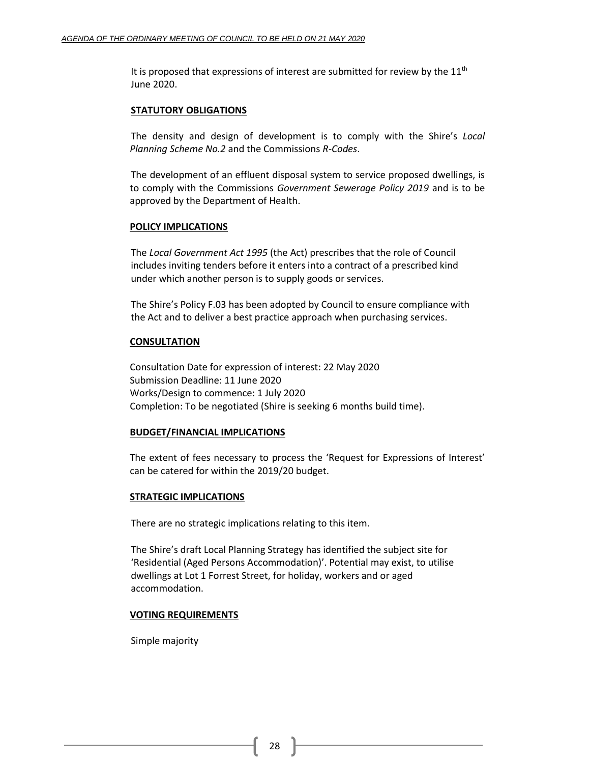It is proposed that expressions of interest are submitted for review by the  $11<sup>th</sup>$ June 2020.

# **STATUTORY OBLIGATIONS**

The density and design of development is to comply with the Shire's *Local Planning Scheme No.2* and the Commissions *R-Codes*.

The development of an effluent disposal system to service proposed dwellings, is to comply with the Commissions *Government Sewerage Policy 2019* and is to be approved by the Department of Health.

# **POLICY IMPLICATIONS**

The *Local Government Act 1995* (the Act) prescribes that the role of Council includes inviting tenders before it enters into a contract of a prescribed kind under which another person is to supply goods or services.

The Shire's Policy F.03 has been adopted by Council to ensure compliance with the Act and to deliver a best practice approach when purchasing services.

# **CONSULTATION**

Consultation Date for expression of interest: 22 May 2020 Submission Deadline: 11 June 2020 Works/Design to commence: 1 July 2020 Completion: To be negotiated (Shire is seeking 6 months build time).

# **BUDGET/FINANCIAL IMPLICATIONS**

The extent of fees necessary to process the 'Request for Expressions of Interest' can be catered for within the 2019/20 budget.

# **STRATEGIC IMPLICATIONS**

There are no strategic implications relating to this item.

The Shire's draft Local Planning Strategy has identified the subject site for 'Residential (Aged Persons Accommodation)'. Potential may exist, to utilise dwellings at Lot 1 Forrest Street, for holiday, workers and or aged accommodation.

# **VOTING REQUIREMENTS**

Simple majority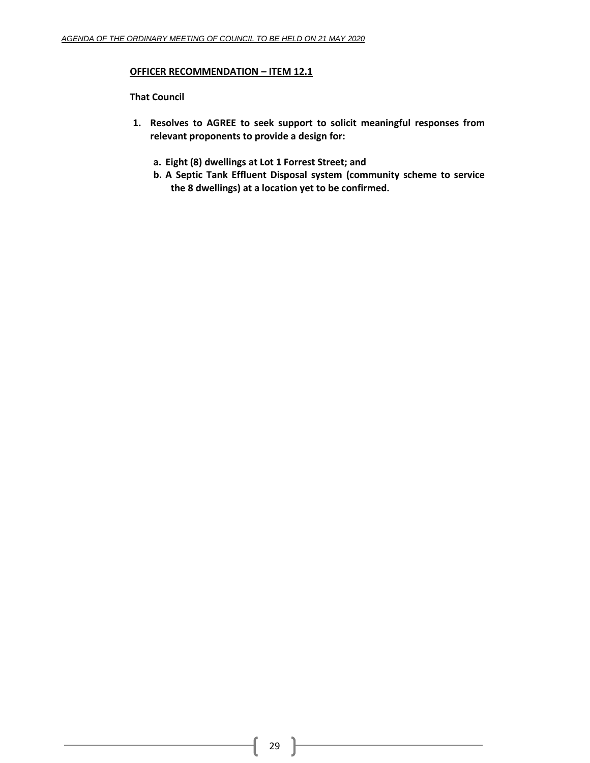# **OFFICER RECOMMENDATION – ITEM 12.1**

# **That Council**

- **1. Resolves to AGREE to seek support to solicit meaningful responses from relevant proponents to provide a design for:**
	- **a. Eight (8) dwellings at Lot 1 Forrest Street; and**
	- **b. A Septic Tank Effluent Disposal system (community scheme to service the 8 dwellings) at a location yet to be confirmed.**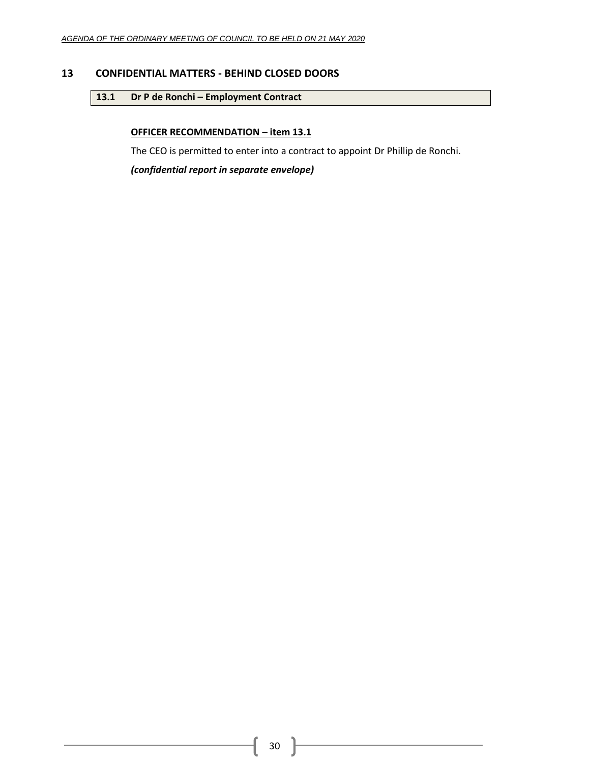# <span id="page-29-1"></span><span id="page-29-0"></span>**13 CONFIDENTIAL MATTERS - BEHIND CLOSED DOORS**

# 13.1 **Dr P de Ronchi – Employment Contract**

# **OFFICER RECOMMENDATION – item 13.1**

The CEO is permitted to enter into a contract to appoint Dr Phillip de Ronchi.

*(confidential report in separate envelope)*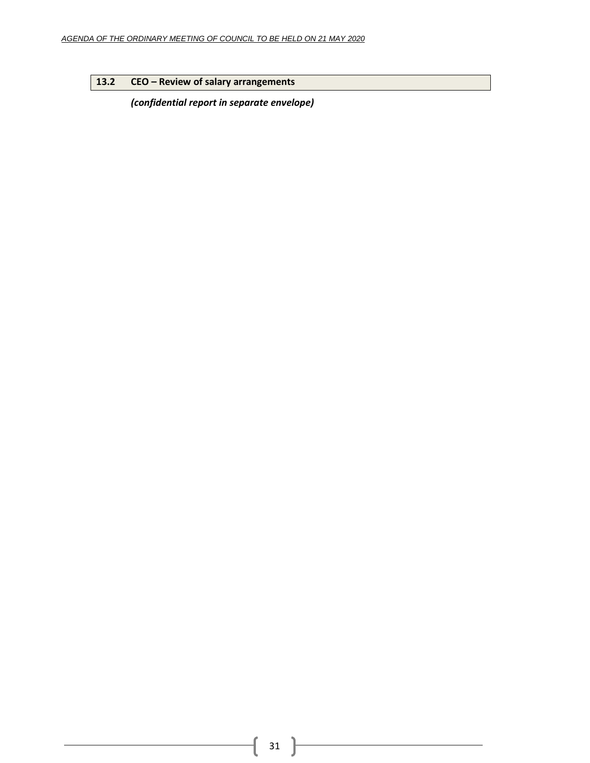# <span id="page-30-0"></span>**13.2 CEO – Review of salary arrangements**

*(confidential report in separate envelope)*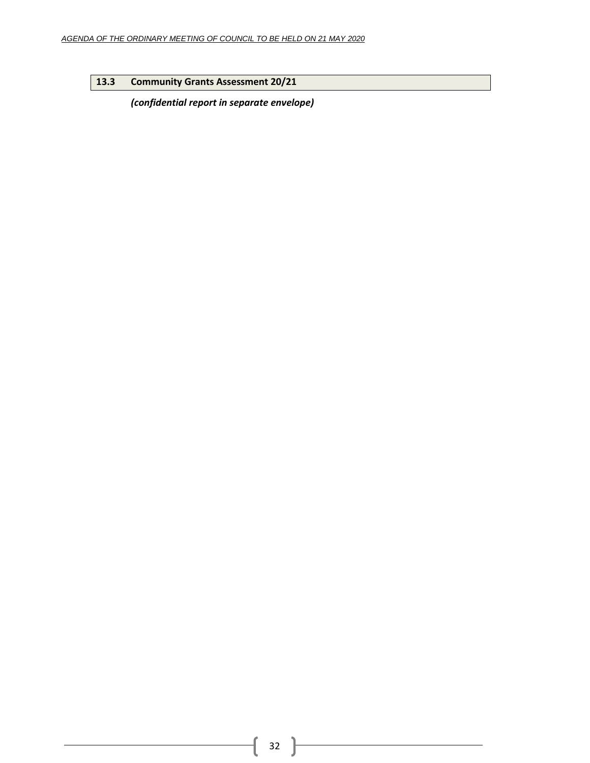# <span id="page-31-0"></span>**13.3 Community Grants Assessment 20/21**

*(confidential report in separate envelope)*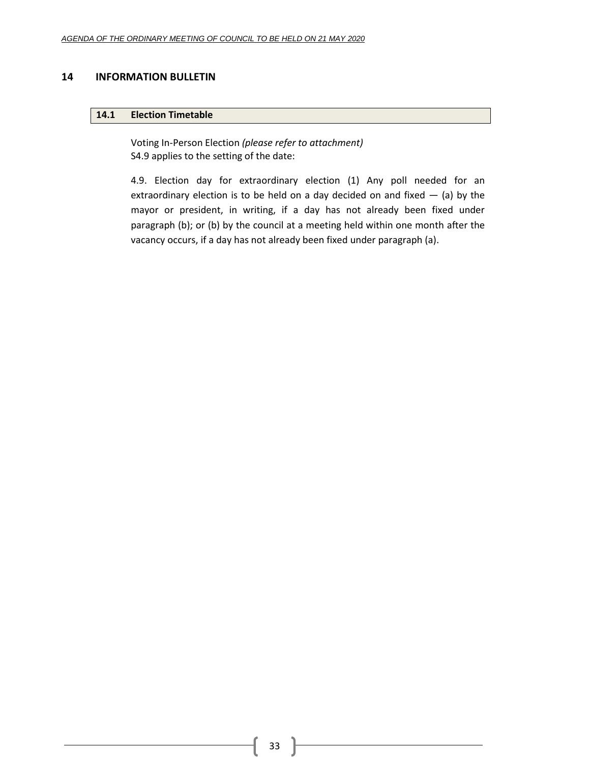# <span id="page-32-1"></span><span id="page-32-0"></span>**14 INFORMATION BULLETIN**

### **14.1 Election Timetable**

Voting In-Person Election *(please refer to attachment)* S4.9 applies to the setting of the date:

4.9. Election day for extraordinary election (1) Any poll needed for an extraordinary election is to be held on a day decided on and fixed  $-$  (a) by the mayor or president, in writing, if a day has not already been fixed under paragraph (b); or (b) by the council at a meeting held within one month after the vacancy occurs, if a day has not already been fixed under paragraph (a).